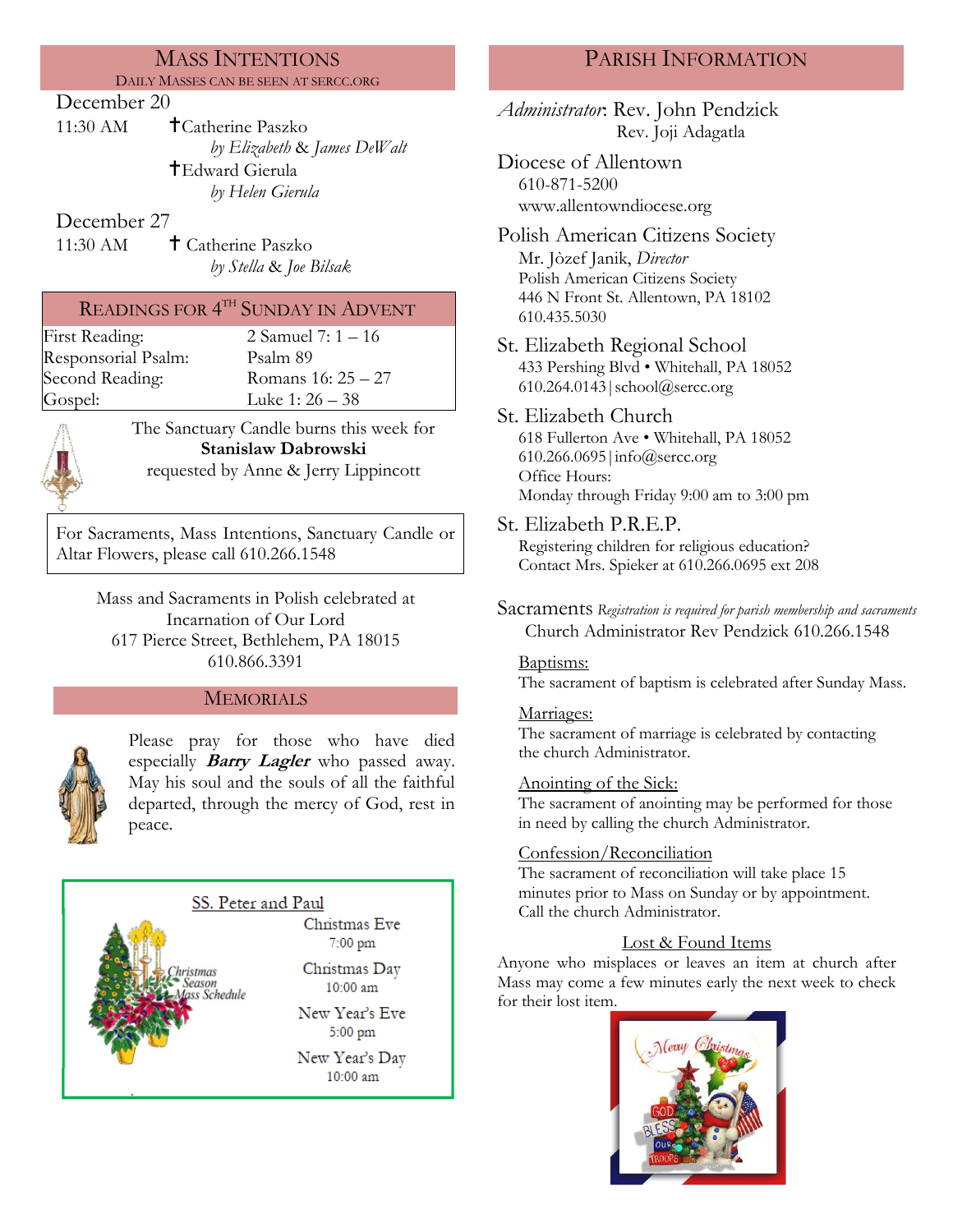# MASS INTENTIONS

DAILY MASSES CAN BE SEEN AT SERCC.ORG

### December 20

11:30 AM Catherine Paszko *by Elizabeth* & *James DeWalt* Edward Gierula *by Helen Gierula*

## December 27

11:30 AM **+ Catherine Paszko** *by Stella* & *Joe Bilsak*

# READINGS FOR  $4^{\text{\tiny{TH}}}$  SUNDAY IN ADVENT

Responsorial Psalm: [Psalm](http://www.usccb.org/bible/readings/bible/psalms/25:4) 89

First Reading: 2 Samuel 7: 1 – 16 Second Reading: Romans 16: 25 – 27 Gospel: Luke 1: 26 – 38



The Sanctuary Candle burns this week for **Stanislaw Dabrowski** requested by Anne & Jerry Lippincott

For Sacraments, Mass Intentions, Sanctuary Candle or Altar Flowers, please call 610.266.1548

Mass and Sacraments in Polish celebrated at Incarnation of Our Lord 617 Pierce Street, Bethlehem, PA 18015 610.866.3391

### **MEMORIALS**



Please pray for those who have died especially **Barry Lagler** who passed away. May his soul and the souls of all the faithful departed, through the mercy of God, rest in peace.

## SS. Peter and Paul

stmas ason

Schedule

Christmas Eve  $7:00~\text{pm}$ 

Christmas Day 10:00 am

New Year's Eve  $5:00$  pm

New Year's Day 10:00 am

# PARISH INFORMATION

*Administrator*: Rev. John Pendzick Rev. Joji Adagatla

Diocese of Allentown 610-871-5200 www.allentowndiocese.org

- Polish American Citizens Society Mr. Jòzef Janik, *Director* Polish American Citizens Society 446 N Front St. Allentown, PA 18102 610.435.5030
- St. Elizabeth Regional School 433 Pershing Blvd • Whitehall, PA 18052 610.264.0143|school@sercc.org

## St. Elizabeth Church 618 Fullerton Ave • Whitehall, PA 18052

610.266.0695|info@sercc.org Office Hours: Monday through Friday 9:00 am to 3:00 pm

St. Elizabeth P.R.E.P.

Registering children for religious education? Contact Mrs. Spieker at 610.266.0695 ext 208

Sacraments *Registration is required for parish membership and sacraments* Church Administrator Rev Pendzick 610.266.1548

### Baptisms:

The sacrament of baptism is celebrated after Sunday Mass.

### Marriages:

The sacrament of marriage is celebrated by contacting the church Administrator.

### Anointing of the Sick:

The sacrament of anointing may be performed for those in need by calling the church Administrator.

### Confession/Reconciliation

The sacrament of reconciliation will take place 15 minutes prior to Mass on Sunday or by appointment. Call the church Administrator.

## Lost & Found Items

Anyone who misplaces or leaves an item at church after Mass may come a few minutes early the next week to check for their lost item.